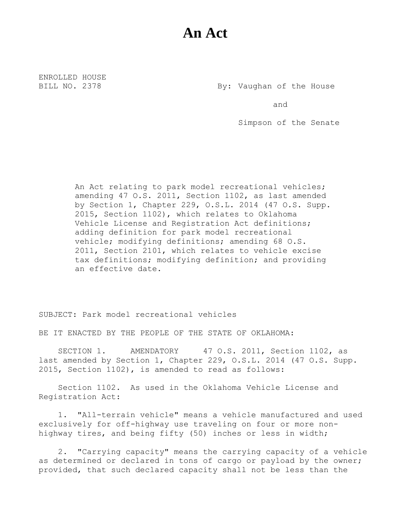## **An Act**

ENROLLED HOUSE

BILL NO. 2378 By: Vaughan of the House

and

Simpson of the Senate

An Act relating to park model recreational vehicles; amending 47 O.S. 2011, Section 1102, as last amended by Section 1, Chapter 229, O.S.L. 2014 (47 O.S. Supp. 2015, Section 1102), which relates to Oklahoma Vehicle License and Registration Act definitions; adding definition for park model recreational vehicle; modifying definitions; amending 68 O.S. 2011, Section 2101, which relates to vehicle excise tax definitions; modifying definition; and providing an effective date.

SUBJECT: Park model recreational vehicles

BE IT ENACTED BY THE PEOPLE OF THE STATE OF OKLAHOMA:

SECTION 1. AMENDATORY 47 O.S. 2011, Section 1102, as last amended by Section 1, Chapter 229, O.S.L. 2014 (47 O.S. Supp. 2015, Section 1102), is amended to read as follows:

Section 1102. As used in the Oklahoma Vehicle License and Registration Act:

1. "All-terrain vehicle" means a vehicle manufactured and used exclusively for off-highway use traveling on four or more nonhighway tires, and being fifty (50) inches or less in width;

2. "Carrying capacity" means the carrying capacity of a vehicle as determined or declared in tons of cargo or payload by the owner; provided, that such declared capacity shall not be less than the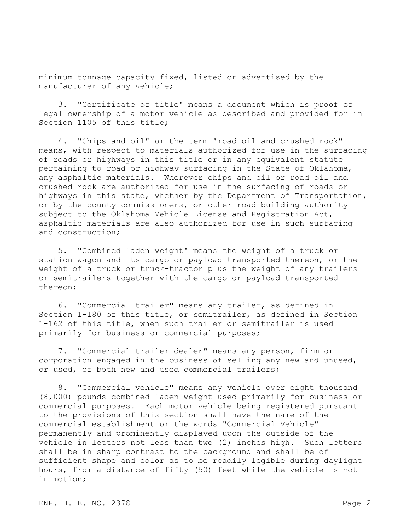minimum tonnage capacity fixed, listed or advertised by the manufacturer of any vehicle;

3. "Certificate of title" means a document which is proof of legal ownership of a motor vehicle as described and provided for in Section 1105 of this title;

4. "Chips and oil" or the term "road oil and crushed rock" means, with respect to materials authorized for use in the surfacing of roads or highways in this title or in any equivalent statute pertaining to road or highway surfacing in the State of Oklahoma, any asphaltic materials. Wherever chips and oil or road oil and crushed rock are authorized for use in the surfacing of roads or highways in this state, whether by the Department of Transportation, or by the county commissioners, or other road building authority subject to the Oklahoma Vehicle License and Registration Act, asphaltic materials are also authorized for use in such surfacing and construction;

5. "Combined laden weight" means the weight of a truck or station wagon and its cargo or payload transported thereon, or the weight of a truck or truck-tractor plus the weight of any trailers or semitrailers together with the cargo or payload transported thereon;

6. "Commercial trailer" means any trailer, as defined in Section 1-180 of this title, or semitrailer, as defined in Section 1-162 of this title, when such trailer or semitrailer is used primarily for business or commercial purposes;

7. "Commercial trailer dealer" means any person, firm or corporation engaged in the business of selling any new and unused, or used, or both new and used commercial trailers;

8. "Commercial vehicle" means any vehicle over eight thousand (8,000) pounds combined laden weight used primarily for business or commercial purposes. Each motor vehicle being registered pursuant to the provisions of this section shall have the name of the commercial establishment or the words "Commercial Vehicle" permanently and prominently displayed upon the outside of the vehicle in letters not less than two (2) inches high. Such letters shall be in sharp contrast to the background and shall be of sufficient shape and color as to be readily legible during daylight hours, from a distance of fifty (50) feet while the vehicle is not in motion;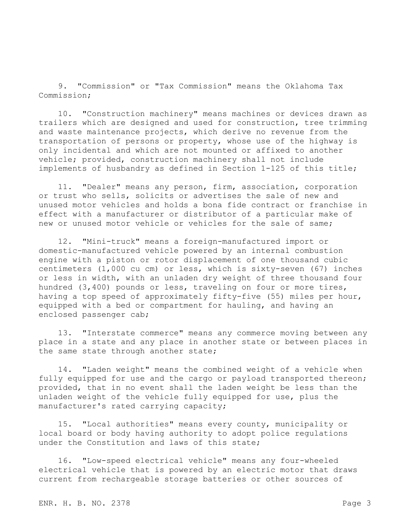9. "Commission" or "Tax Commission" means the Oklahoma Tax Commission;

10. "Construction machinery" means machines or devices drawn as trailers which are designed and used for construction, tree trimming and waste maintenance projects, which derive no revenue from the transportation of persons or property, whose use of the highway is only incidental and which are not mounted or affixed to another vehicle; provided, construction machinery shall not include implements of husbandry as defined in Section 1-125 of this title;

11. "Dealer" means any person, firm, association, corporation or trust who sells, solicits or advertises the sale of new and unused motor vehicles and holds a bona fide contract or franchise in effect with a manufacturer or distributor of a particular make of new or unused motor vehicle or vehicles for the sale of same;

12. "Mini-truck" means a foreign-manufactured import or domestic-manufactured vehicle powered by an internal combustion engine with a piston or rotor displacement of one thousand cubic centimeters (1,000 cu cm) or less, which is sixty-seven (67) inches or less in width, with an unladen dry weight of three thousand four hundred (3,400) pounds or less, traveling on four or more tires, having a top speed of approximately fifty-five (55) miles per hour, equipped with a bed or compartment for hauling, and having an enclosed passenger cab;

13. "Interstate commerce" means any commerce moving between any place in a state and any place in another state or between places in the same state through another state;

14. "Laden weight" means the combined weight of a vehicle when fully equipped for use and the cargo or payload transported thereon; provided, that in no event shall the laden weight be less than the unladen weight of the vehicle fully equipped for use, plus the manufacturer's rated carrying capacity;

15. "Local authorities" means every county, municipality or local board or body having authority to adopt police regulations under the Constitution and laws of this state;

16. "Low-speed electrical vehicle" means any four-wheeled electrical vehicle that is powered by an electric motor that draws current from rechargeable storage batteries or other sources of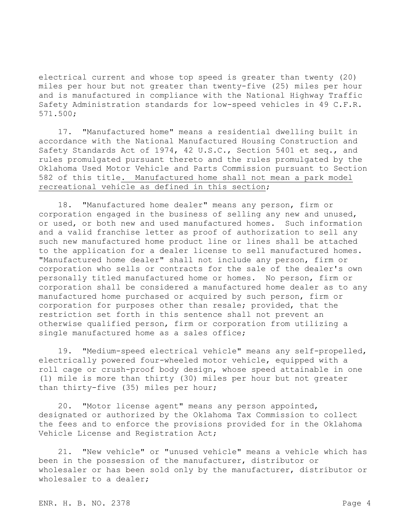electrical current and whose top speed is greater than twenty (20) miles per hour but not greater than twenty-five (25) miles per hour and is manufactured in compliance with the National Highway Traffic Safety Administration standards for low-speed vehicles in 49 C.F.R. 571.500;

17. "Manufactured home" means a residential dwelling built in accordance with the National Manufactured Housing Construction and Safety Standards Act of 1974, 42 U.S.C., Section 5401 et seq., and rules promulgated pursuant thereto and the rules promulgated by the Oklahoma Used Motor Vehicle and Parts Commission pursuant to Section 582 of this title. Manufactured home shall not mean a park model recreational vehicle as defined in this section;

18. "Manufactured home dealer" means any person, firm or corporation engaged in the business of selling any new and unused, or used, or both new and used manufactured homes. Such information and a valid franchise letter as proof of authorization to sell any such new manufactured home product line or lines shall be attached to the application for a dealer license to sell manufactured homes. "Manufactured home dealer" shall not include any person, firm or corporation who sells or contracts for the sale of the dealer's own personally titled manufactured home or homes. No person, firm or corporation shall be considered a manufactured home dealer as to any manufactured home purchased or acquired by such person, firm or corporation for purposes other than resale; provided, that the restriction set forth in this sentence shall not prevent an otherwise qualified person, firm or corporation from utilizing a single manufactured home as a sales office;

19. "Medium-speed electrical vehicle" means any self-propelled, electrically powered four-wheeled motor vehicle, equipped with a roll cage or crush-proof body design, whose speed attainable in one (1) mile is more than thirty (30) miles per hour but not greater than thirty-five (35) miles per hour;

20. "Motor license agent" means any person appointed, designated or authorized by the Oklahoma Tax Commission to collect the fees and to enforce the provisions provided for in the Oklahoma Vehicle License and Registration Act;

21. "New vehicle" or "unused vehicle" means a vehicle which has been in the possession of the manufacturer, distributor or wholesaler or has been sold only by the manufacturer, distributor or wholesaler to a dealer: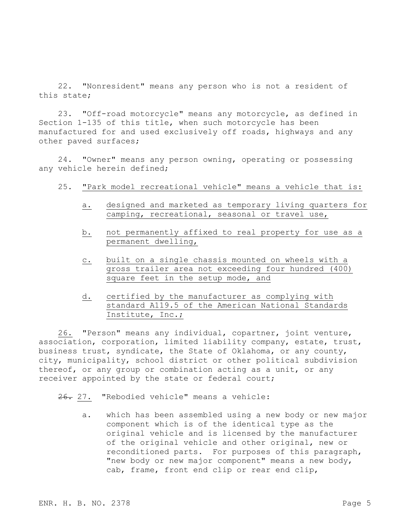22. "Nonresident" means any person who is not a resident of this state;

23. "Off-road motorcycle" means any motorcycle, as defined in Section 1-135 of this title, when such motorcycle has been manufactured for and used exclusively off roads, highways and any other paved surfaces;

24. "Owner" means any person owning, operating or possessing any vehicle herein defined;

- 25. "Park model recreational vehicle" means a vehicle that is:
	- a. designed and marketed as temporary living quarters for camping, recreational, seasonal or travel use,
	- b. not permanently affixed to real property for use as a permanent dwelling,
	- c. built on a single chassis mounted on wheels with a gross trailer area not exceeding four hundred (400) square feet in the setup mode, and
	- d. certified by the manufacturer as complying with standard A119.5 of the American National Standards Institute, Inc.;

26. "Person" means any individual, copartner, joint venture, association, corporation, limited liability company, estate, trust, business trust, syndicate, the State of Oklahoma, or any county, city, municipality, school district or other political subdivision thereof, or any group or combination acting as a unit, or any receiver appointed by the state or federal court;

26. 27. "Rebodied vehicle" means a vehicle:

a. which has been assembled using a new body or new major component which is of the identical type as the original vehicle and is licensed by the manufacturer of the original vehicle and other original, new or reconditioned parts. For purposes of this paragraph, "new body or new major component" means a new body, cab, frame, front end clip or rear end clip,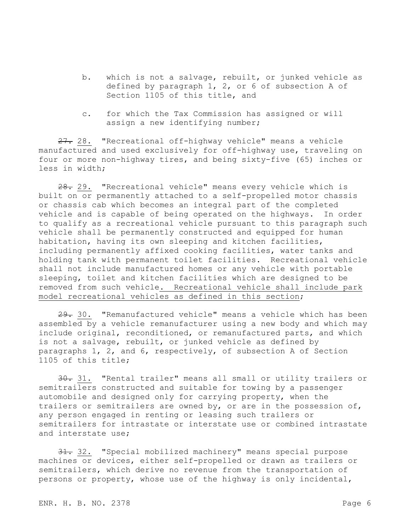- b. which is not a salvage, rebuilt, or junked vehicle as defined by paragraph 1, 2, or 6 of subsection A of Section 1105 of this title, and
- c. for which the Tax Commission has assigned or will assign a new identifying number;

27. 28. "Recreational off-highway vehicle" means a vehicle manufactured and used exclusively for off-highway use, traveling on four or more non-highway tires, and being sixty-five (65) inches or less in width;

28. 29. "Recreational vehicle" means every vehicle which is built on or permanently attached to a self-propelled motor chassis or chassis cab which becomes an integral part of the completed vehicle and is capable of being operated on the highways. In order to qualify as a recreational vehicle pursuant to this paragraph such vehicle shall be permanently constructed and equipped for human habitation, having its own sleeping and kitchen facilities, including permanently affixed cooking facilities, water tanks and holding tank with permanent toilet facilities. Recreational vehicle shall not include manufactured homes or any vehicle with portable sleeping, toilet and kitchen facilities which are designed to be removed from such vehicle. Recreational vehicle shall include park model recreational vehicles as defined in this section;

29. 30. "Remanufactured vehicle" means a vehicle which has been assembled by a vehicle remanufacturer using a new body and which may include original, reconditioned, or remanufactured parts, and which is not a salvage, rebuilt, or junked vehicle as defined by paragraphs 1, 2, and 6, respectively, of subsection A of Section 1105 of this title;

30. 31. "Rental trailer" means all small or utility trailers or semitrailers constructed and suitable for towing by a passenger automobile and designed only for carrying property, when the trailers or semitrailers are owned by, or are in the possession of, any person engaged in renting or leasing such trailers or semitrailers for intrastate or interstate use or combined intrastate and interstate use;

31. 32. "Special mobilized machinery" means special purpose machines or devices, either self-propelled or drawn as trailers or semitrailers, which derive no revenue from the transportation of persons or property, whose use of the highway is only incidental,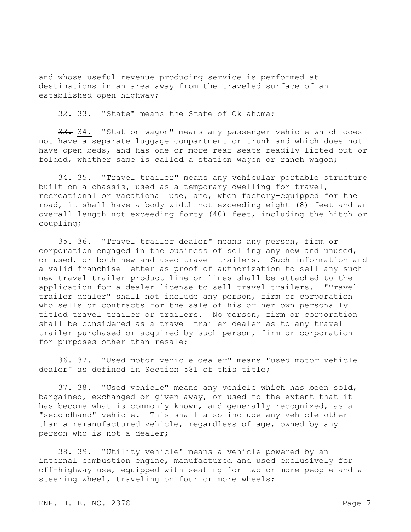and whose useful revenue producing service is performed at destinations in an area away from the traveled surface of an established open highway;

32. 33. "State" means the State of Oklahoma;

33. 34. "Station wagon" means any passenger vehicle which does not have a separate luggage compartment or trunk and which does not have open beds, and has one or more rear seats readily lifted out or folded, whether same is called a station wagon or ranch wagon;

34. 35. "Travel trailer" means any vehicular portable structure built on a chassis, used as a temporary dwelling for travel, recreational or vacational use, and, when factory-equipped for the road, it shall have a body width not exceeding eight (8) feet and an overall length not exceeding forty (40) feet, including the hitch or coupling;

35. 36. "Travel trailer dealer" means any person, firm or corporation engaged in the business of selling any new and unused, or used, or both new and used travel trailers. Such information and a valid franchise letter as proof of authorization to sell any such new travel trailer product line or lines shall be attached to the application for a dealer license to sell travel trailers. "Travel trailer dealer" shall not include any person, firm or corporation who sells or contracts for the sale of his or her own personally titled travel trailer or trailers. No person, firm or corporation shall be considered as a travel trailer dealer as to any travel trailer purchased or acquired by such person, firm or corporation for purposes other than resale;

36. 37. "Used motor vehicle dealer" means "used motor vehicle dealer" as defined in Section 581 of this title;

37. 38. "Used vehicle" means any vehicle which has been sold, bargained, exchanged or given away, or used to the extent that it has become what is commonly known, and generally recognized, as a "secondhand" vehicle. This shall also include any vehicle other than a remanufactured vehicle, regardless of age, owned by any person who is not a dealer;

38. 39. "Utility vehicle" means a vehicle powered by an internal combustion engine, manufactured and used exclusively for off-highway use, equipped with seating for two or more people and a steering wheel, traveling on four or more wheels;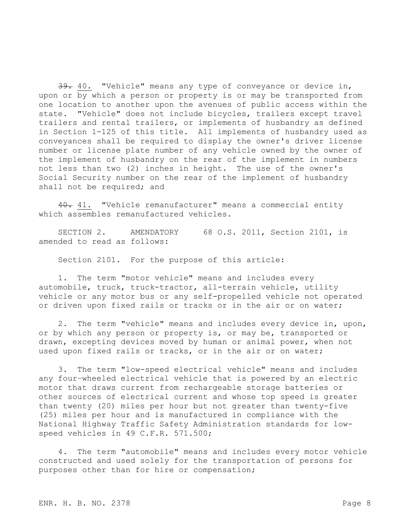39. 40. "Vehicle" means any type of conveyance or device in, upon or by which a person or property is or may be transported from one location to another upon the avenues of public access within the state. "Vehicle" does not include bicycles, trailers except travel trailers and rental trailers, or implements of husbandry as defined in Section 1-125 of this title. All implements of husbandry used as conveyances shall be required to display the owner's driver license number or license plate number of any vehicle owned by the owner of the implement of husbandry on the rear of the implement in numbers not less than two (2) inches in height. The use of the owner's Social Security number on the rear of the implement of husbandry shall not be required; and

40. 41. "Vehicle remanufacturer" means a commercial entity which assembles remanufactured vehicles.

SECTION 2. AMENDATORY 68 O.S. 2011, Section 2101, is amended to read as follows:

Section 2101. For the purpose of this article:

1. The term "motor vehicle" means and includes every automobile, truck, truck-tractor, all-terrain vehicle, utility vehicle or any motor bus or any self-propelled vehicle not operated or driven upon fixed rails or tracks or in the air or on water;

2. The term "vehicle" means and includes every device in, upon, or by which any person or property is, or may be, transported or drawn, excepting devices moved by human or animal power, when not used upon fixed rails or tracks, or in the air or on water;

3. The term "low-speed electrical vehicle" means and includes any four–wheeled electrical vehicle that is powered by an electric motor that draws current from rechargeable storage batteries or other sources of electrical current and whose top speed is greater than twenty (20) miles per hour but not greater than twenty-five (25) miles per hour and is manufactured in compliance with the National Highway Traffic Safety Administration standards for lowspeed vehicles in 49 C.F.R. 571.500;

4. The term "automobile" means and includes every motor vehicle constructed and used solely for the transportation of persons for purposes other than for hire or compensation;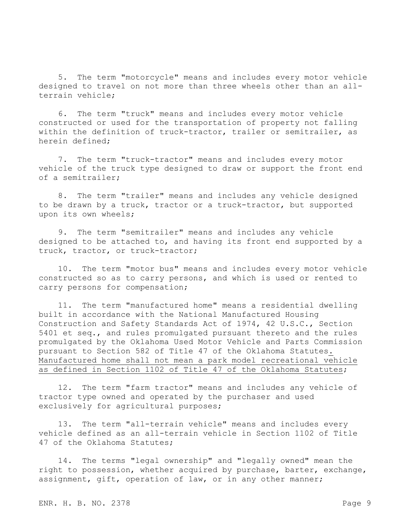5. The term "motorcycle" means and includes every motor vehicle designed to travel on not more than three wheels other than an allterrain vehicle;

6. The term "truck" means and includes every motor vehicle constructed or used for the transportation of property not falling within the definition of truck-tractor, trailer or semitrailer, as herein defined;

7. The term "truck-tractor" means and includes every motor vehicle of the truck type designed to draw or support the front end of a semitrailer;

8. The term "trailer" means and includes any vehicle designed to be drawn by a truck, tractor or a truck-tractor, but supported upon its own wheels;

9. The term "semitrailer" means and includes any vehicle designed to be attached to, and having its front end supported by a truck, tractor, or truck-tractor;

10. The term "motor bus" means and includes every motor vehicle constructed so as to carry persons, and which is used or rented to carry persons for compensation;

11. The term "manufactured home" means a residential dwelling built in accordance with the National Manufactured Housing Construction and Safety Standards Act of 1974, 42 U.S.C., Section 5401 et seq., and rules promulgated pursuant thereto and the rules promulgated by the Oklahoma Used Motor Vehicle and Parts Commission pursuant to Section 582 of Title 47 of the Oklahoma Statutes. Manufactured home shall not mean a park model recreational vehicle as defined in Section 1102 of Title 47 of the Oklahoma Statutes;

12. The term "farm tractor" means and includes any vehicle of tractor type owned and operated by the purchaser and used exclusively for agricultural purposes;

13. The term "all-terrain vehicle" means and includes every vehicle defined as an all-terrain vehicle in Section 1102 of Title 47 of the Oklahoma Statutes;

14. The terms "legal ownership" and "legally owned" mean the right to possession, whether acquired by purchase, barter, exchange, assignment, gift, operation of law, or in any other manner;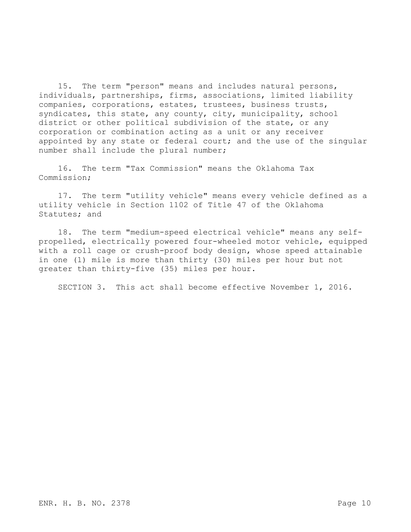15. The term "person" means and includes natural persons, individuals, partnerships, firms, associations, limited liability companies, corporations, estates, trustees, business trusts, syndicates, this state, any county, city, municipality, school district or other political subdivision of the state, or any corporation or combination acting as a unit or any receiver appointed by any state or federal court; and the use of the singular number shall include the plural number;

16. The term "Tax Commission" means the Oklahoma Tax Commission;

17. The term "utility vehicle" means every vehicle defined as a utility vehicle in Section 1102 of Title 47 of the Oklahoma Statutes; and

18. The term "medium-speed electrical vehicle" means any selfpropelled, electrically powered four-wheeled motor vehicle, equipped with a roll cage or crush-proof body design, whose speed attainable in one (1) mile is more than thirty (30) miles per hour but not greater than thirty-five (35) miles per hour.

SECTION 3. This act shall become effective November 1, 2016.